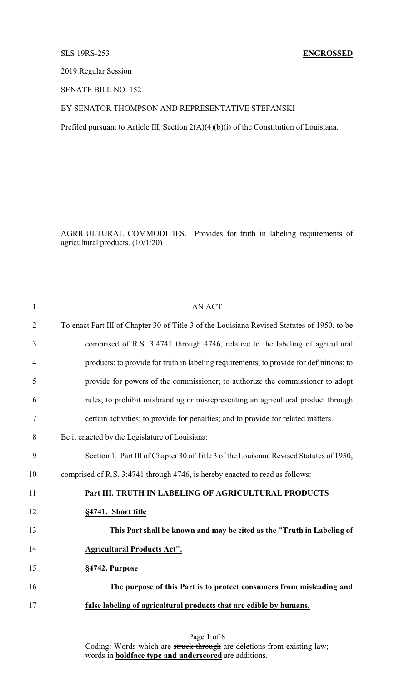## SLS 19RS-253 **ENGROSSED**

2019 Regular Session

SENATE BILL NO. 152

## BY SENATOR THOMPSON AND REPRESENTATIVE STEFANSKI

Prefiled pursuant to Article III, Section 2(A)(4)(b)(i) of the Constitution of Louisiana.

AGRICULTURAL COMMODITIES. Provides for truth in labeling requirements of agricultural products. (10/1/20)

| $\mathbf{1}$   | <b>AN ACT</b>                                                                               |  |
|----------------|---------------------------------------------------------------------------------------------|--|
| $\overline{2}$ | To enact Part III of Chapter 30 of Title 3 of the Louisiana Revised Statutes of 1950, to be |  |
| 3              | comprised of R.S. 3:4741 through 4746, relative to the labeling of agricultural             |  |
| 4              | products; to provide for truth in labeling requirements; to provide for definitions; to     |  |
| 5              | provide for powers of the commissioner; to authorize the commissioner to adopt              |  |
| 6              | rules; to prohibit misbranding or misrepresenting an agricultural product through           |  |
| 7              | certain activities; to provide for penalties; and to provide for related matters.           |  |
| 8              | Be it enacted by the Legislature of Louisiana:                                              |  |
| 9              | Section 1. Part III of Chapter 30 of Title 3 of the Louisiana Revised Statutes of 1950,     |  |
| 10             | comprised of R.S. 3:4741 through 4746, is hereby enacted to read as follows:                |  |
| 11             | Part III. TRUTH IN LABELING OF AGRICULTURAL PRODUCTS                                        |  |
| 12             | §4741. Short title                                                                          |  |
| 13             | This Part shall be known and may be cited as the "Truth in Labeling of                      |  |
| 14             | <b>Agricultural Products Act".</b>                                                          |  |
| 15             | §4742. Purpose                                                                              |  |
| 16             | The purpose of this Part is to protect consumers from misleading and                        |  |
| 17             | false labeling of agricultural products that are edible by humans.                          |  |
|                |                                                                                             |  |

# Page 1 of 8 Coding: Words which are struck through are deletions from existing law; words in **boldface type and underscored** are additions.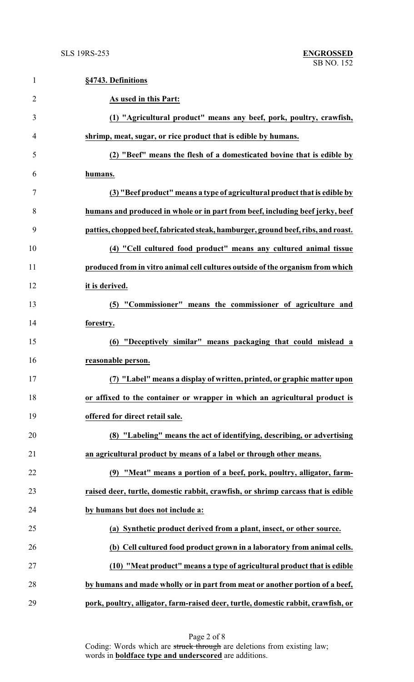| $\mathbf{1}$   | §4743. Definitions                                                                |
|----------------|-----------------------------------------------------------------------------------|
| $\overline{2}$ | As used in this Part:                                                             |
| 3              | (1) "Agricultural product" means any beef, pork, poultry, crawfish,               |
| 4              | shrimp, meat, sugar, or rice product that is edible by humans.                    |
| 5              | (2) "Beef" means the flesh of a domesticated bovine that is edible by             |
| 6              | humans.                                                                           |
| 7              | (3) "Beef product" means a type of agricultural product that is edible by         |
| 8              | humans and produced in whole or in part from beef, including beef jerky, beef     |
| 9              | patties, chopped beef, fabricated steak, hamburger, ground beef, ribs, and roast. |
| 10             | (4) "Cell cultured food product" means any cultured animal tissue                 |
| 11             | produced from in vitro animal cell cultures outside of the organism from which    |
| 12             | it is derived.                                                                    |
| 13             | (5) "Commissioner" means the commissioner of agriculture and                      |
| 14             | forestry.                                                                         |
| 15             | (6) "Deceptively similar" means packaging that could mislead a                    |
| 16             | reasonable person.                                                                |
| 17             | (7) "Label" means a display of written, printed, or graphic matter upon           |
| 18             | or affixed to the container or wrapper in which an agricultural product is        |
| 19             | offered for direct retail sale.                                                   |
| 20             | (8) "Labeling" means the act of identifying, describing, or advertising           |
| 21             | an agricultural product by means of a label or through other means.               |
| 22             | (9) "Meat" means a portion of a beef, pork, poultry, alligator, farm-             |
| 23             | raised deer, turtle, domestic rabbit, crawfish, or shrimp carcass that is edible  |
| 24             | by humans but does not include a:                                                 |
| 25             | (a) Synthetic product derived from a plant, insect, or other source.              |
| 26             | (b) Cell cultured food product grown in a laboratory from animal cells.           |
| 27             | (10) "Meat product" means a type of agricultural product that is edible           |
| 28             | by humans and made wholly or in part from meat or another portion of a beef,      |
| 29             | pork, poultry, alligator, farm-raised deer, turtle, domestic rabbit, crawfish, or |

Page 2 of 8 Coding: Words which are struck through are deletions from existing law; words in **boldface type and underscored** are additions.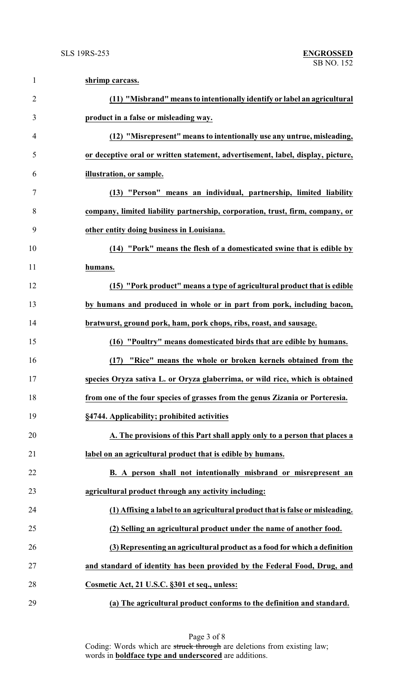| $\mathbf{1}$   | shrimp carcass.                                                                 |
|----------------|---------------------------------------------------------------------------------|
| $\overline{2}$ | (11) "Misbrand" means to intentionally identify or label an agricultural        |
| 3              | product in a false or misleading way.                                           |
| $\overline{4}$ | (12) "Misrepresent" means to intentionally use any untrue, misleading,          |
| 5              | or deceptive oral or written statement, advertisement, label, display, picture, |
| 6              | illustration, or sample.                                                        |
| $\tau$         | (13) "Person" means an individual, partnership, limited liability               |
| 8              | company, limited liability partnership, corporation, trust, firm, company, or   |
| 9              | other entity doing business in Louisiana.                                       |
| 10             | (14) "Pork <u>" means the flesh of a domesticated swine that is edible by</u>   |
| 11             | humans.                                                                         |
| 12             | (15) "Pork product" means a type of agricultural product that is edible         |
| 13             | by humans and produced in whole or in part from pork, including bacon,          |
| 14             | bratwurst, ground pork, ham, pork chops, ribs, roast, and sausage.              |
| 15             | (16) "Poultry" means domesticated birds that are edible by humans.              |
| 16             | "Rice" means the whole or broken kernels obtained from the<br>(17)              |
| 17             | species Oryza sativa L. or Oryza glaberrima, or wild rice, which is obtained    |
| 18             | from one of the four species of grasses from the genus Zizania or Porteresia.   |
| 19             | §4744. Applicability; prohibited activities                                     |
| 20             | A. The provisions of this Part shall apply only to a person that places a       |
| 21             | label on an agricultural product that is edible by humans.                      |
| 22             | B. A person shall not intentionally misbrand or misrepresent an                 |
| 23             | agricultural product through any activity including:                            |
| 24             | (1) Affixing a label to an agricultural product that is false or misleading.    |
| 25             | (2) Selling an agricultural product under the name of another food.             |
| 26             | (3) Representing an agricultural product as a food for which a definition       |
| 27             | and standard of identity has been provided by the Federal Food, Drug, and       |
| 28             | Cosmetic Act, 21 U.S.C. §301 et seq., unless:                                   |
| 29             | (a) The agricultural product conforms to the definition and standard.           |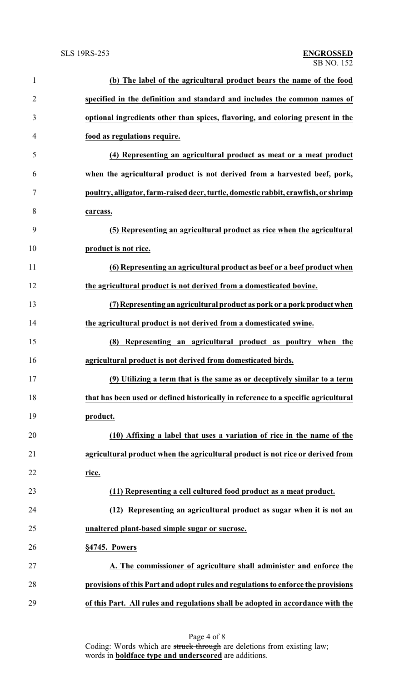| $\mathbf{1}$   | (b) The label of the agricultural product bears the name of the food               |
|----------------|------------------------------------------------------------------------------------|
| $\overline{2}$ | specified in the definition and standard and includes the common names of          |
| 3              | optional ingredients other than spices, flavoring, and coloring present in the     |
| $\overline{4}$ | food as regulations require.                                                       |
| 5              | (4) Representing an agricultural product as meat or a meat product                 |
| 6              | when the agricultural product is not derived from a harvested beef, pork,          |
| 7              | poultry, alligator, farm-raised deer, turtle, domestic rabbit, crawfish, or shrimp |
| 8              | carcass.                                                                           |
| 9              | (5) Representing an agricultural product as rice when the agricultural             |
| 10             | product is not rice.                                                               |
| 11             | (6) Representing an agricultural product as beef or a beef product when            |
| 12             | the agricultural product is not derived from a domesticated bovine.                |
| 13             | (7) Representing an agricultural product as pork or a pork product when            |
| 14             | the agricultural product is not derived from a domesticated swine.                 |
| 15             | Representing an agricultural product as poultry when the<br>(8)                    |
| 16             | agricultural product is not derived from domesticated birds.                       |
| 17             | (9) Utilizing a term that is the same as or deceptively similar to a term          |
| 18             | that has been used or defined historically in reference to a specific agricultural |
| 19             | product.                                                                           |
| 20             | (10) Affixing a label that uses a variation of rice in the name of the             |
| 21             | agricultural product when the agricultural product is not rice or derived from     |
| 22             | rice.                                                                              |
| 23             | (11) Representing a cell cultured food product as a meat product.                  |
| 24             | (12) Representing an agricultural product as sugar when it is not an               |
| 25             | unaltered plant-based simple sugar or sucrose.                                     |
| 26             | §4745. Powers                                                                      |
| 27             | A. The commissioner of agriculture shall administer and enforce the                |
| 28             | provisions of this Part and adopt rules and regulations to enforce the provisions  |
| 29             | of this Part. All rules and regulations shall be adopted in accordance with the    |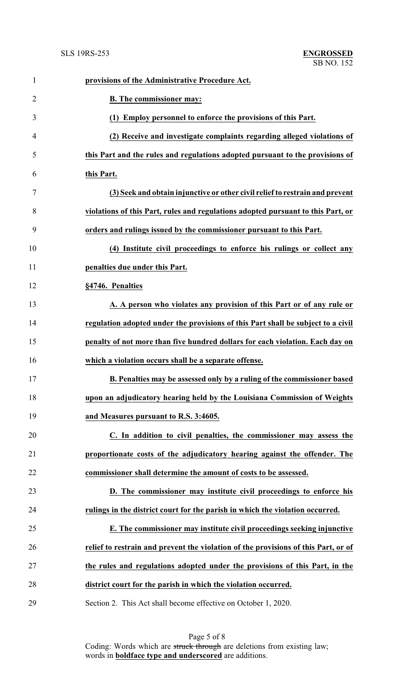| $\mathbf{1}$   | provisions of the Administrative Procedure Act.                                    |
|----------------|------------------------------------------------------------------------------------|
| $\overline{2}$ | <b>B.</b> The commissioner may:                                                    |
| 3              | (1) Employ personnel to enforce the provisions of this Part.                       |
| 4              | (2) Receive and investigate complaints regarding alleged violations of             |
| 5              | this Part and the rules and regulations adopted pursuant to the provisions of      |
| 6              | this Part.                                                                         |
| 7              | (3) Seek and obtain injunctive or other civil relief to restrain and prevent       |
| 8              | violations of this Part, rules and regulations adopted pursuant to this Part, or   |
| 9              | orders and rulings issued by the commissioner pursuant to this Part.               |
| 10             | (4) Institute civil proceedings to enforce his rulings or collect any              |
| 11             | penalties due under this Part.                                                     |
| 12             | §4746. Penalties                                                                   |
| 13             | A. A person who violates any provision of this Part or of any rule or              |
| 14             | regulation adopted under the provisions of this Part shall be subject to a civil   |
| 15             | penalty of not more than five hundred dollars for each violation. Each day on      |
| 16             | which a violation occurs shall be a separate offense.                              |
| 17             | B. Penalties may be assessed only by a ruling of the commissioner based            |
| 18             | upon an adjudicatory hearing held by the Louisiana Commission of Weights           |
| 19             | and Measures pursuant to R.S. 3:4605.                                              |
| 20             | C. In addition to civil penalties, the commissioner may assess the                 |
| 21             | proportionate costs of the adjudicatory hearing against the offender. The          |
| 22             | commissioner shall determine the amount of costs to be assessed.                   |
| 23             | D. The commissioner may institute civil proceedings to enforce his                 |
| 24             | rulings in the district court for the parish in which the violation occurred.      |
| 25             | E. The commissioner may institute civil proceedings seeking injunctive             |
| 26             | relief to restrain and prevent the violation of the provisions of this Part, or of |
| 27             | the rules and regulations adopted under the provisions of this Part, in the        |
| 28             | district court for the parish in which the violation occurred.                     |
| 29             | Section 2. This Act shall become effective on October 1, 2020.                     |

Page 5 of 8 Coding: Words which are struck through are deletions from existing law; words in **boldface type and underscored** are additions.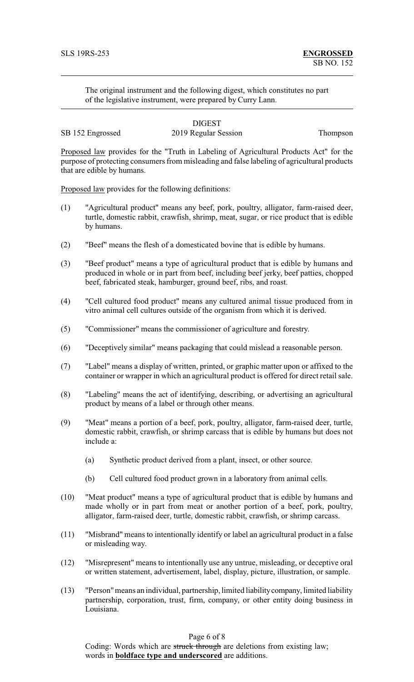The original instrument and the following digest, which constitutes no part of the legislative instrument, were prepared by Curry Lann.

|                  | <b>DIGEST</b>        |          |
|------------------|----------------------|----------|
| SB 152 Engrossed | 2019 Regular Session | Thompson |

Proposed law provides for the "Truth in Labeling of Agricultural Products Act" for the purpose of protecting consumers from misleading and false labeling of agricultural products that are edible by humans.

Proposed law provides for the following definitions:

- (1) "Agricultural product" means any beef, pork, poultry, alligator, farm-raised deer, turtle, domestic rabbit, crawfish, shrimp, meat, sugar, or rice product that is edible by humans.
- (2) "Beef" means the flesh of a domesticated bovine that is edible by humans.
- (3) "Beef product" means a type of agricultural product that is edible by humans and produced in whole or in part from beef, including beef jerky, beef patties, chopped beef, fabricated steak, hamburger, ground beef, ribs, and roast.
- (4) "Cell cultured food product" means any cultured animal tissue produced from in vitro animal cell cultures outside of the organism from which it is derived.
- (5) "Commissioner" means the commissioner of agriculture and forestry.
- (6) "Deceptively similar" means packaging that could mislead a reasonable person.
- (7) "Label" means a display of written, printed, or graphic matter upon or affixed to the container or wrapper in which an agricultural product is offered for direct retail sale.
- (8) "Labeling" means the act of identifying, describing, or advertising an agricultural product by means of a label or through other means.
- (9) "Meat" means a portion of a beef, pork, poultry, alligator, farm-raised deer, turtle, domestic rabbit, crawfish, or shrimp carcass that is edible by humans but does not include a:
	- (a) Synthetic product derived from a plant, insect, or other source.
	- (b) Cell cultured food product grown in a laboratory from animal cells.
- (10) "Meat product" means a type of agricultural product that is edible by humans and made wholly or in part from meat or another portion of a beef, pork, poultry, alligator, farm-raised deer, turtle, domestic rabbit, crawfish, or shrimp carcass.
- (11) "Misbrand" means to intentionally identify or label an agricultural product in a false or misleading way.
- (12) "Misrepresent" means to intentionally use any untrue, misleading, or deceptive oral or written statement, advertisement, label, display, picture, illustration, or sample.
- (13) "Person"means an individual, partnership, limited liabilitycompany, limited liability partnership, corporation, trust, firm, company, or other entity doing business in Louisiana.

Page 6 of 8

Coding: Words which are struck through are deletions from existing law; words in **boldface type and underscored** are additions.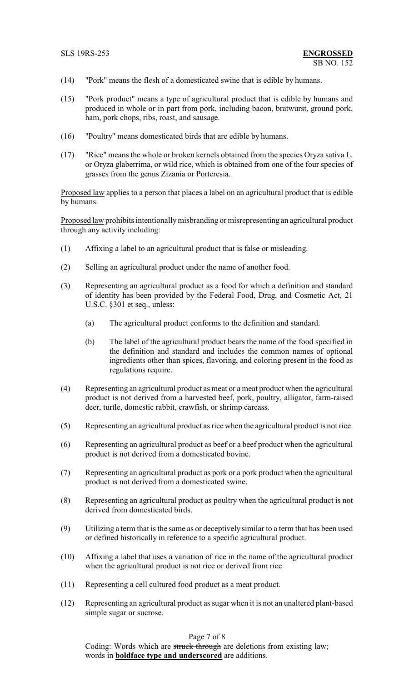- (14) "Pork" means the flesh of a domesticated swine that is edible by humans.
- (15) "Pork product" means a type of agricultural product that is edible by humans and produced in whole or in part from pork, including bacon, bratwurst, ground pork, ham, pork chops, ribs, roast, and sausage.
- (16) "Poultry" means domesticated birds that are edible by humans.
- (17) "Rice" means the whole or broken kernels obtained from the species Oryza sativa L. or Oryza glaberrima, or wild rice, which is obtained from one of the four species of grasses from the genus Zizania or Porteresia.

Proposed law applies to a person that places a label on an agricultural product that is edible by humans.

Proposed law prohibits intentionally misbranding or misrepresenting an agricultural product through any activity including:

- (1) Affixing a label to an agricultural product that is false or misleading.
- (2) Selling an agricultural product under the name of another food.
- (3) Representing an agricultural product as a food for which a definition and standard of identity has been provided by the Federal Food, Drug, and Cosmetic Act, 21 U.S.C. §301 et seq., unless:
	- (a) The agricultural product conforms to the definition and standard.
	- (b) The label of the agricultural product bears the name of the food specified in the definition and standard and includes the common names of optional ingredients other than spices, flavoring, and coloring present in the food as regulations require.
- (4) Representing an agricultural product as meat or a meat product when the agricultural product is not derived from a harvested beef, pork, poultry, alligator, farm-raised deer, turtle, domestic rabbit, crawfish, or shrimp carcass.
- (5) Representing an agricultural product as rice when the agricultural product is not rice.
- (6) Representing an agricultural product as beef or a beef product when the agricultural product is not derived from a domesticated bovine.
- (7) Representing an agricultural product as pork or a pork product when the agricultural product is not derived from a domesticated swine.
- (8) Representing an agricultural product as poultry when the agricultural product is not derived from domesticated birds.
- (9) Utilizing a term that is the same as or deceptively similar to a term that has been used or defined historically in reference to a specific agricultural product.
- (10) Affixing a label that uses a variation of rice in the name of the agricultural product when the agricultural product is not rice or derived from rice.
- (11) Representing a cell cultured food product as a meat product.
- (12) Representing an agricultural product as sugar when it is not an unaltered plant-based simple sugar or sucrose.

Page 7 of 8

Coding: Words which are struck through are deletions from existing law; words in **boldface type and underscored** are additions.